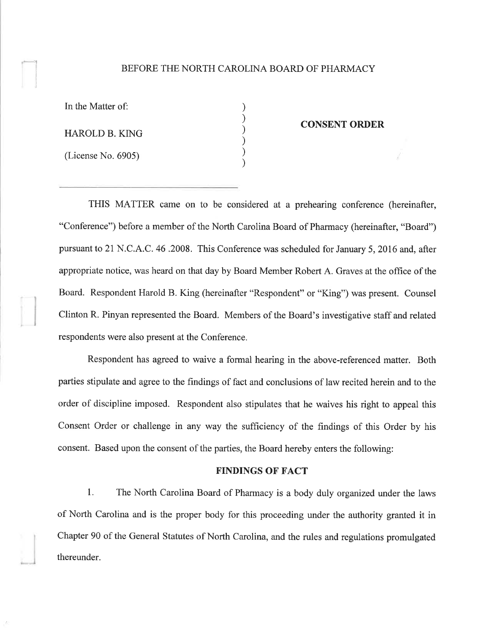## BEFORE THE NORTH CAROLINA BOARD OF PHARMACY

| In the Matter of:  |  |
|--------------------|--|
| HAROLD B. KING     |  |
| (License No. 6905) |  |

I

### CONSENT ORDER

THIS MATTER came on to be considered at a prehearing conference (hereinafter, "Conference") before a member of the North Carolina Board of Pharmacy (hereinafter, "Board") pursuant to 21 N.C.A.C. 46.2008. This Conference was scheduled for January 5,2016 and, after appropriate notice, was heard on that day by Board Member Robert A. Graves at the office of the Board. Respondent Harold B. King (hereinafter "Respondent" or "King") was present. Counsel Clinton R. Pinyan represented the Board. Members of the Board's investigative staff and related respondents were also present at the Conference.

Respondent has agreed to waive a formal hearing in the above-referenced matter. Both parties stipulate and agree to the findings of fact and conclusions of law recited herein and to the order of discipline imposed. Respondent also stipulates that he waives his right to appeal this Consent Order or challenge in any way the sufficiency of the findings of this Order by his consent. Based upon the consent of the parties, the Board hereby enters the following:

# FINDINGS OF FACT

1. The North Carolina Board of Pharmacy is a body duly organized under the laws of North Carolina and is the proper body for this proceeding under the authority granted it in Chapter 90 of the General Statutes of North Carolina, and the rules and regulations promulgated thereunder.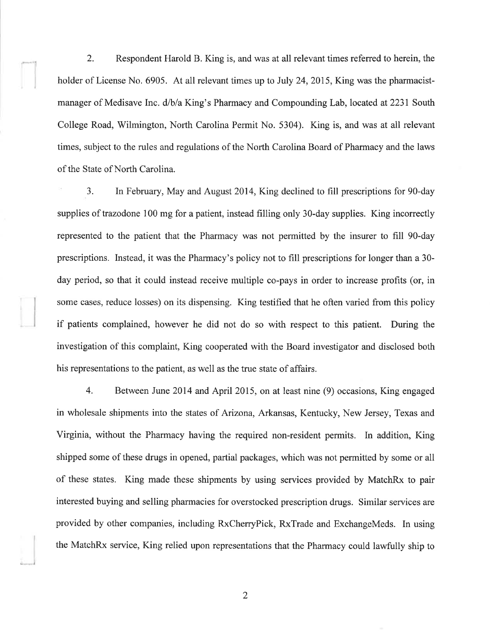2. Respondent Harold B. King is, and was at all relevant times referred to herein, the holder of License No. 6905. At all relevant times up to July 24, 2015, King was the pharmacistmanager of Medisave Inc. d/b/a King's Pharmacy and Compounding Lab, located at 2231 South College Road, Wilmington, North Carolina Permit No. 5304). King is, and was at all relevant times, subject to the rules and regulations of the North Carolina Board of Pharmacy and the laws of the State of North Carolina.

3. In February, May and August2014, King declined to fill prescriptions for 90-day supplies of trazodone 100 mg for a patient, instead filling only 30-day supplies. King incorrectly represented to the patient that the Pharmacy was not permitted by the insurer to fill 90-day prescriptions. Instead, it was the Pharmacy's policy not to fill prescriptions for longer than a 30 day period, so that it could instead receive multiple co-pays in order to increase profits (or, in some cases, reduce losses) on its dispensing. King testified that he often varied from this policy if patients complained, however he did not do so with respect to this patient. During the investigation of this complaint, King cooperated with the Board investigator and disclosed both his representations to the patient, as well as the true state of affairs.

4. Between June 2014 and April 20l5,on at least nine (9) occasions, King engaged in wholesale shipments into the states of Arizona, Arkansas, Kentucky, New Jersey, Texas and Virginia, without the Pharmacy having the required non-resident permits. In addition, King shipped some of these drugs in opened, partial packages, which was not permitted by some or all of these states. King made these shipments by using services provided by MatchRx to pair interested buying and selling pharmacies for overstocked prescription drugs. Similar services are provided by other companies, including RxCherryPick, RxTrade and ExchangeMeds. In using the MatchRx service, King relied upon representations that the Pharmacy could lawfully ship to

2

-l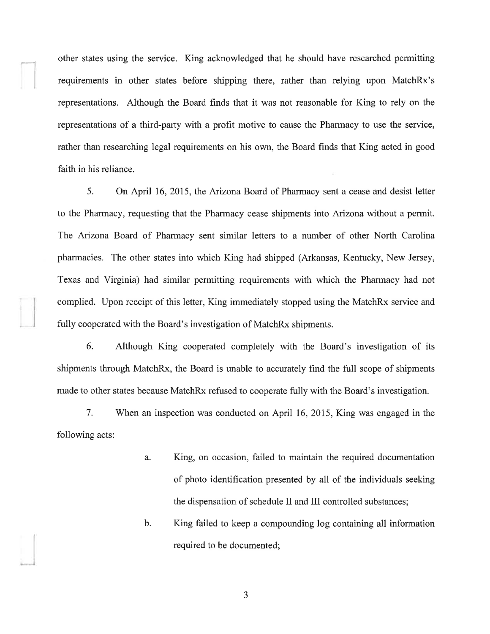other states using the service. King acknowledged that he should have researched permitting requirements in other states before shipping there, rather than relying upon MatchRx's representations. Although the Board finds that it was not reasonable for King to rely on the representations of a third-party with a profit motive to cause the Pharmacy to use the service, rather than researching legal requirements on his own, the Board finds that King acted in good faith in his reliance.

5. On April 16,2015, the Arizona Board of Pharmacy sent a cease and desist letter to the Pharmacy, requesting that the Pharmacy cease shipments into Arizona without a permit. The Arizona Board of Pharmacy sent similar letters to a number of other North Carolina pharmacies. The other states into which King had shipped (Arkansas, Kentucky, New Jersey, Texas and Virginia) had similar permitting requirements with which the Pharmacy had not complied. Upon receipt of this letter, King immediately stopped using the MatchRx service and fully cooperated with the Board's investigation of MatchRx shipments.

6. Although King cooperated completely with the Board's investigation of its shipments through MatchRx, the Board is unable to accurately find the full scope of shipments made to other states because MatchRx refused to cooperate fully with the Board's investigation.

7. When an inspection was conducted on April 16, 2015, King was engaged in the following acts:

- a. King, on occasion, failed to maintain the required documentation of photo identification presented by all of the individuals seeking the dispensation of schedule II and III controlled substances;
- b. King failed to keep a compounding log containing all information required to be documented;

J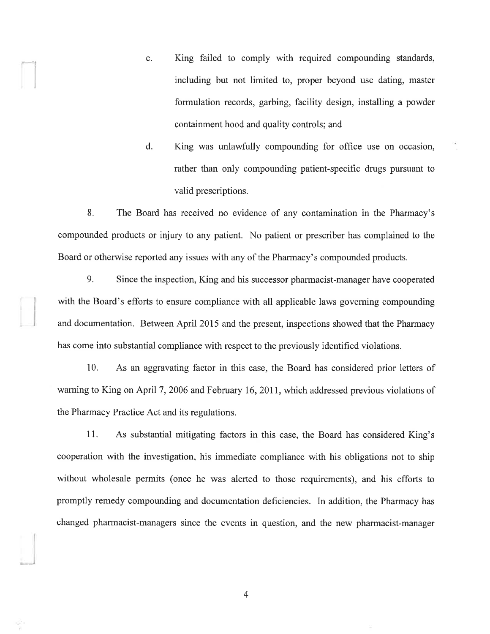- c. King failed to comply with required compounding standards, including but not limited to, proper beyond use dating, master formulation records, garbing, facility design, installing a powder containment hood and quality controls; and
- d. King was unlawfully compounding for office use on occasion, rather than only compounding patient-specific drugs pursuant to valid prescriptions.

8. The Board has received no evidence of any contamination in the Pharmacy's compounded products or injury to any patient. No patient or prescriber has complained to the Board or otherwise reported any issues with any of the Pharmacy's compounded products.

9. Since the inspection, King and his successor pharmacist-manager have cooperated with the Board's efforts to ensure compliance with all applicable laws governing compounding and documentation. Between April 2015 and the present, inspections showed that the Pharmacy has come into substantial compliance with respect to the previously identified violations.

10. As an aggravating factor in this case, the Board has considered prior letters of warning to King on April 7, 2006 and February 16, 2011, which addressed previous violations of the Pharmacy Practice Act and its regulations.

11. As substantial mitigating factors in this case, the Board has considered King's cooperation with the investigation, his immediate compliance with his obligations not to ship without wholesale permits (once he was alerted to those requirements), and his efforts to promptly remedy compounding and documentation deficiencies. In addition, the Pharmacy has changed pharmacist-managers since the events in question, and the new pharmacist-manager

4

)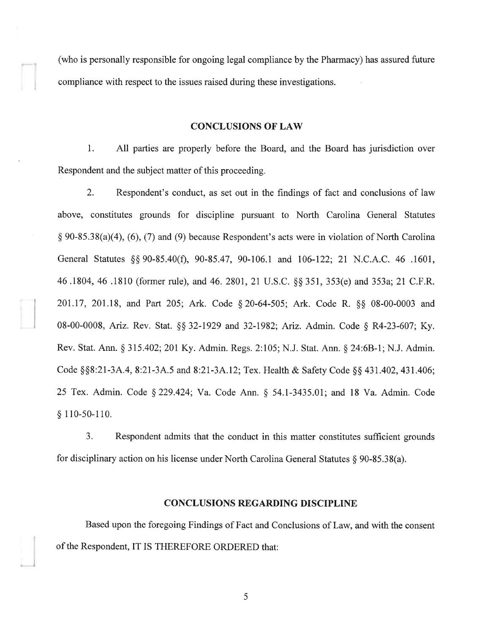(who is personally responsible for ongoing legal compliance by the Pharmacy) has assured future compliance with respect to the issues raised during these investigations.

 $-1$ 

l

#### CONCLUSIONS OF LAW

l. All parties are properly before the Board, and the Board has jurisdiction over Respondent and the subject matter of this proceeding.

2. Respondent's conduct, as set out in the findings of fact and conclusions of law above, constitutes grounds for discipline pursuant to North Carolina General Statutes  $\S 90-85.38(a)(4)$ , (6), (7) and (9) because Respondent's acts were in violation of North Carolina General Statutes \$\$ 90-85.40(Ð, 90-85 .47, 90-106.1 and 106-122; 21 N.C.A.C. 46 .1601, 46.1804,46 .1810 (former rule), and 46.2801,21 U.S.C. \$\$ 351, 353(e) and353a;21 C.F.R. 201.17, 201.18, and Part 205; Ark. Code § 20-64-505; Ark. Code R. §§ 08-00-0003 and 08-00-0008, Ariz. Rev. Stat. §§ 32-1929 and 32-1982; Ariz. Admin. Code § R4-23-607; Ky. Rev. Stat. Ann. \$ 315.402;201 Ky. Admin. Regs. 2:105; N.J. Stat. Ann. \$ 24:68-l; N.J. Admin. Code §§8:21-3A.4, 8:21-3A.5 and 8:21-3A.12; Tex. Health & Safety Code §§ 431.402, 431.406; 25 Tex. Admin. Code \$ 229.424; Va. Code Ann. g 54.1-3435.01; and 18 Va. Admin. Code  $§ 110-50-110.$ 

3. Respondent admits that the conduct in this matter constitutes sufficient grounds for disciplinary action on his license under North Carolina General Statutes  $\S 90-85.38(a)$ .

## CONCLUSIONS REGARDING DISCIPLINE

Based upon the foregoing Findings of Fact and Conclusions of Law, and with the consent of the Respondent, IT IS THEREFORE ORDERED that:

5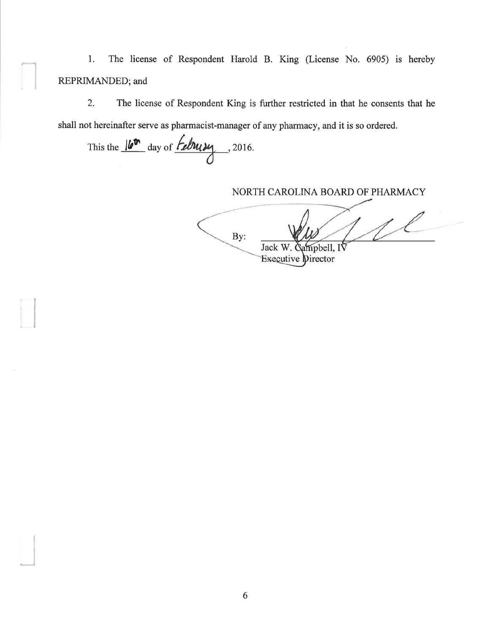l. The license of Respondent Harold B. King (License No. 6905) is hereby REPRIMANDED; and

2. The license of Respondent King is further restricted in that he consents that he shall not hereinafter serve as pharmacist-manager of any pharmacy, and it is so ordered.

This the  $\frac{|\mathbf{b}^{\mathbf{b}}|}{\text{day of } \mathbf{b}}$  and  $\frac{|\mathbf{b}^{\mathbf{b}}|}{\text{day}}$ , 2016.

I

I

NORTH CAROLINA BOARD OF PHARMACY

1 L By: Jack W. Gampbell, IV<br>Executive Director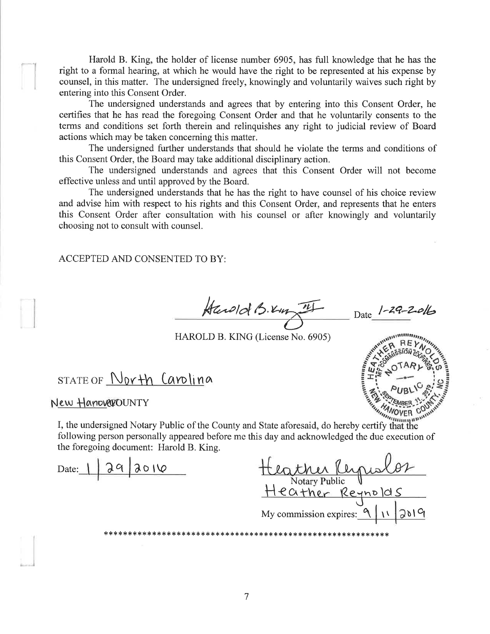Harold B. King, the holder of license number 6905, has full knowledge that he has the right to a formal hearing, at which he would have the right to be represented at his expense by counsel, in this matter. The undersigned freely, knowingly and voluntarily waives such right by entering into this Consent Order.

The undersigned understands and agrees that by entering into this Consent Order, he certifies that he has read the foregoing Consent Order and that he voluntarily consents to the terms and conditions set forth therein and relinquishes any right to judicial review of Board actions which may be taken concerning this matter.

The undersigned further understands that should he violate the terms and conditions of this Consent Order, the Board may take additional disciplinary action.

The undersigned understands and agrees that this Consent Order will not become effective unless and until approved by the Board.

The undersigned understands that he has the right to have counsel of his choice review and advise him with respect to his rights and this Consent Order, and represents that he enters this Consent Order after consultation with his counsel or after knowingly and voluntarily choosing not to consult with counsel.

ACCEPTED AND CONSENTED TO BY:

 $k$ and  $k$ ,  $k_{up}$  of  $k_{up}$  Date  $1 - 2Q - 20k$  $\vec\ell$ 

Nltlrr'

HAROLD B. KING (License No. 6905)

 $STATE OF$   $North$   $Canlina$ 

New HanoverOUNTY

I, the undersigned Notary Public of the County and State aforesaid, do hereby certify that the following reverse. following person personally appeared before me this day and acknowledged the due execution of the foregoing document: Harold B. King.

Notary Public V<br>Heather Reynolds  $Date: 1292010$ J My commission expires:  $\sqrt{2}$ rl.\*\*X,l.rl.,ß,trl.rFrl.{.r\*rF\*.r&rl.\*,1.\*:t\*¡1.¡1.¡l.rl.t¡rk\*\*.r1.¡l.rl.,l.\*rl.\*\*\*\*Xrl.\*rl.rl.\*,1.{<\*\*\*rl.!krF\*¡l.rl.¡1.,1. ùt q